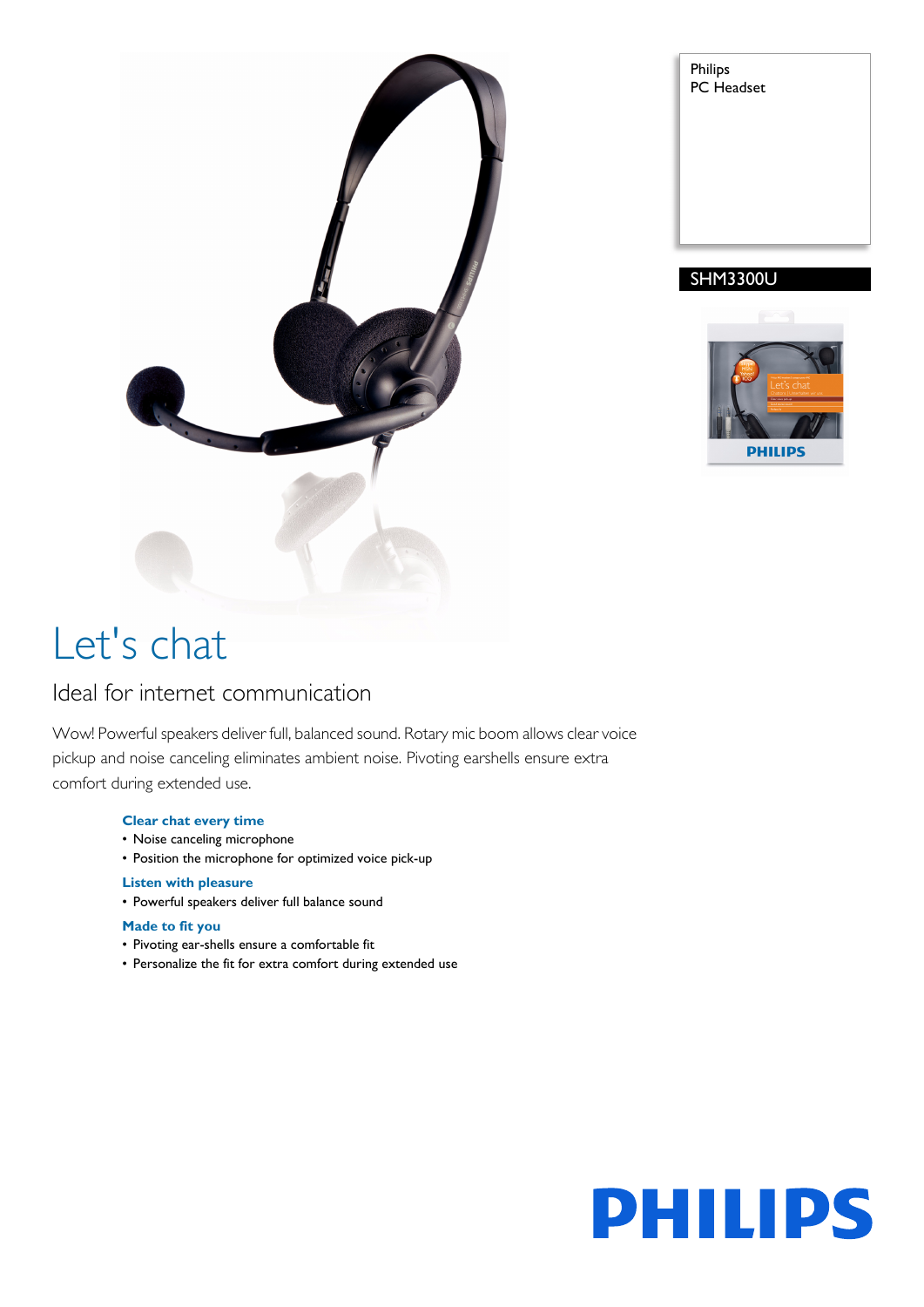

| Philips<br>PC Headset |  |
|-----------------------|--|
|                       |  |
|                       |  |
|                       |  |

# SHM3300U



# Let's chat

# Ideal for internet communication

Wow! Powerful speakers deliver full, balanced sound. Rotary mic boom allows clear voice pickup and noise canceling eliminates ambient noise. Pivoting earshells ensure extra comfort during extended use.

### **Clear chat every time**

- Noise canceling microphone
- Position the microphone for optimized voice pick-up

## **Listen with pleasure**

• Powerful speakers deliver full balance sound

### **Made to fit you**

- Pivoting ear-shells ensure a comfortable fit
- Personalize the fit for extra comfort during extended use